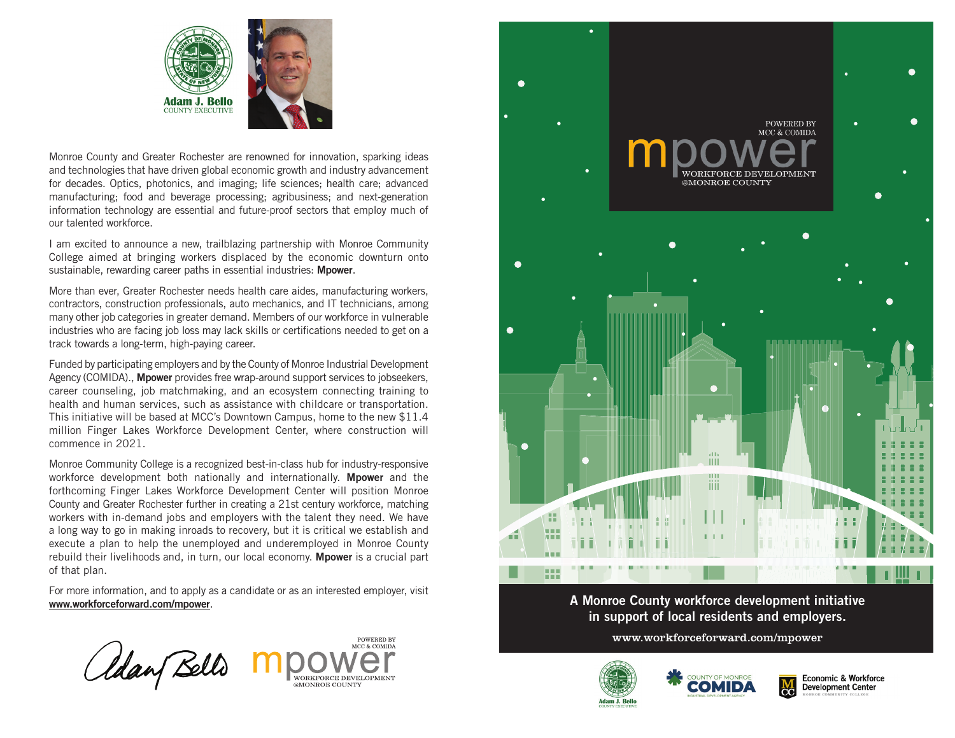



Monroe County and Greater Rochester are renowned for innovation, sparking ideas and technologies that have driven global economic growth and industry advancement for decades. Optics, photonics, and imaging; life sciences; health care; advanced manufacturing; food and beverage processing; agribusiness; and next-generation information technology are essential and future-proof sectors that employ much of our talented workforce.

I am excited to announce a new, trailblazing partnership with Monroe Community College aimed at bringing workers displaced by the economic downturn onto sustainable, rewarding career paths in essential industries: **Mpower.** 

More than ever, Greater Rochester needs health care aides, manufacturing workers, contractors, construction professionals, auto mechanics, and IT technicians, among many other job categories in greater demand. Members of our workforce in vulnerable industries who are facing job loss may lack skills or certifications needed to get on a track towards a long-term, high-paying career.

Funded by participating employers and by the County of Monroe Industrial Development Agency (COMIDA)., **Mpower** provides free wrap-around support services to jobseekers, career counseling, job matchmaking, and an ecosystem connecting training to health and human services, such as assistance with childcare or transportation. This initiative will be based at MCC's Downtown Campus, home to the new \$11.4 million Finger Lakes Workforce Development Center, where construction will commence in 2021.

Monroe Community College is a recognized best-in-class hub for industry-responsive workforce development both nationally and internationally. Mpower and the forthcoming Finger Lakes Workforce Development Center will position Monroe County and Greater Rochester further in creating a 21st century workforce, matching workers with in-demand jobs and employers with the talent they need. We have a long way to go in making inroads to recovery, but it is critical we establish and execute a plan to help the unemployed and underemployed in Monroe County rebuild their livelihoods and, in turn, our local economy. Mpower is a crucial part of that plan.

For more information, and to apply as a candidate or as an interested employer, visit www.workforceforward.com/mpower.

POWERED BY *Claan Bells* WORKFORCE DEVELOPMENT **MONDOR COLINITY** 



A Monroe County workforce development initiative in support of local residents and employers.

www.workforceforward.com/mpower





 $\frac{M}{C}$ 

**Economic & Workforce Development Center**